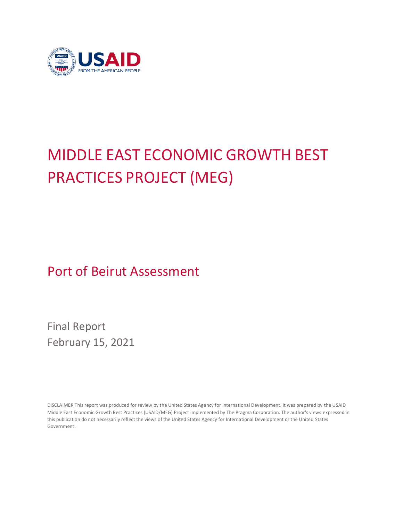

# MIDDLE EAST ECONOMIC GROWTH BEST PRACTICES PROJECT (MEG)

Port of Beirut Assessment

Final Report February 15, 2021

DISCLAIMER This report was produced for review by the United States Agency for International Development. It was prepared by the USAID Middle East Economic Growth Best Practices (USAID/MEG) Project implemented by The Pragma Corporation. The author's views expressed in this publication do not necessarily reflect the views of the United States Agency for International Development or the United States Government.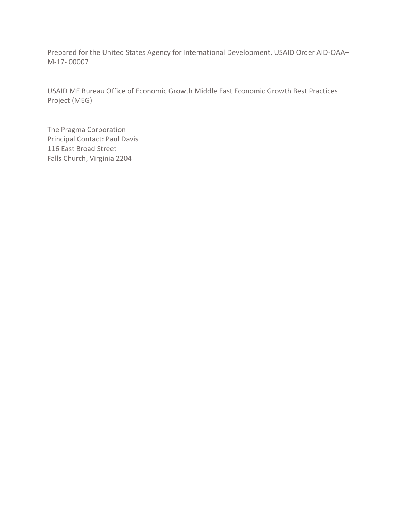Prepared for the United States Agency for International Development, USAID Order AID-OAA– M-17- 00007

USAID ME Bureau Office of Economic Growth Middle East Economic Growth Best Practices Project (MEG)

The Pragma Corporation Principal Contact: Paul Davis 116 East Broad Street Falls Church, Virginia 2204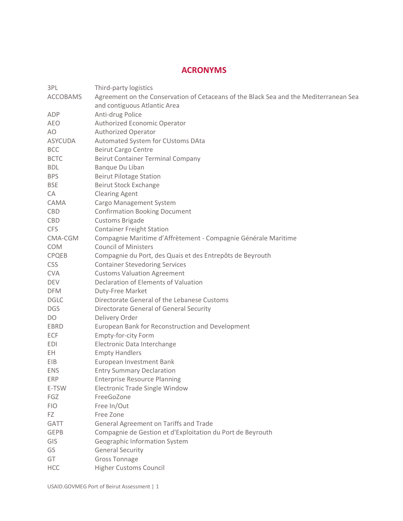# **ACRONYMS**

| 3PL             | Third-party logistics                                                                 |
|-----------------|---------------------------------------------------------------------------------------|
| <b>ACCOBAMS</b> | Agreement on the Conservation of Cetaceans of the Black Sea and the Mediterranean Sea |
|                 | and contiguous Atlantic Area                                                          |
| ADP             | Anti-drug Police                                                                      |
| <b>AEO</b>      | Authorized Economic Operator                                                          |
| AO              | <b>Authorized Operator</b>                                                            |
| <b>ASYCUDA</b>  | Automated System for CUstoms DAta                                                     |
| <b>BCC</b>      | <b>Beirut Cargo Centre</b>                                                            |
| <b>BCTC</b>     | <b>Beirut Container Terminal Company</b>                                              |
| <b>BDL</b>      | Banque Du Liban                                                                       |
| <b>BPS</b>      | <b>Beirut Pilotage Station</b>                                                        |
| <b>BSE</b>      | <b>Beirut Stock Exchange</b>                                                          |
| CA              | <b>Clearing Agent</b>                                                                 |
| CAMA            | Cargo Management System                                                               |
| <b>CBD</b>      | <b>Confirmation Booking Document</b>                                                  |
| CBD             | <b>Customs Brigade</b>                                                                |
| <b>CFS</b>      | <b>Container Freight Station</b>                                                      |
| CMA-CGM         | Compagnie Maritime d'Affrètement - Compagnie Générale Maritime                        |
| <b>COM</b>      | <b>Council of Ministers</b>                                                           |
| CPQEB           | Compagnie du Port, des Quais et des Entrepôts de Beyrouth                             |
| <b>CSS</b>      | <b>Container Stevedoring Services</b>                                                 |
| <b>CVA</b>      | <b>Customs Valuation Agreement</b>                                                    |
| <b>DEV</b>      | Declaration of Elements of Valuation                                                  |
| <b>DFM</b>      | Duty-Free Market                                                                      |
| <b>DGLC</b>     | Directorate General of the Lebanese Customs                                           |
| <b>DGS</b>      | Directorate General of General Security                                               |
| DO              | Delivery Order                                                                        |
| EBRD            | European Bank for Reconstruction and Development                                      |
| ECF             | <b>Empty-for-city Form</b>                                                            |
| <b>EDI</b>      | Electronic Data Interchange                                                           |
| EH.             | <b>Empty Handlers</b>                                                                 |
| EIB             | European Investment Bank                                                              |
| <b>ENS</b>      | <b>Entry Summary Declaration</b>                                                      |
| <b>ERP</b>      | <b>Enterprise Resource Planning</b>                                                   |
| E-TSW           | Electronic Trade Single Window                                                        |
| FGZ             | FreeGoZone                                                                            |
| <b>FIO</b>      | Free In/Out                                                                           |
| FZ              | Free Zone                                                                             |
| <b>GATT</b>     | General Agreement on Tariffs and Trade                                                |
| <b>GEPB</b>     | Compagnie de Gestion et d'Exploitation du Port de Beyrouth                            |
| GIS             | Geographic Information System                                                         |
| GS              | <b>General Security</b>                                                               |
| GT              | <b>Gross Tonnage</b>                                                                  |
| <b>HCC</b>      | Higher Customs Council                                                                |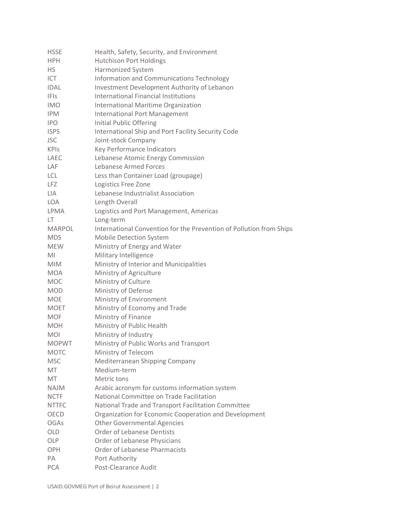| <b>HSSE</b>   | Health, Safety, Security, and Environment                           |
|---------------|---------------------------------------------------------------------|
| <b>HPH</b>    | <b>Hutchison Port Holdings</b>                                      |
| <b>HS</b>     | <b>Harmonized System</b>                                            |
| <b>ICT</b>    | Information and Communications Technology                           |
| <b>IDAL</b>   | Investment Development Authority of Lebanon                         |
| <b>IFIS</b>   | International Financial Institutions                                |
| <b>IMO</b>    | International Maritime Organization                                 |
| <b>IPM</b>    | <b>International Port Management</b>                                |
| <b>IPO</b>    | <b>Initial Public Offering</b>                                      |
| <b>ISPS</b>   | International Ship and Port Facility Security Code                  |
| <b>JSC</b>    | Joint-stock Company                                                 |
| <b>KPIS</b>   | Key Performance Indicators                                          |
| LAEC          | Lebanese Atomic Energy Commission                                   |
| LAF           | Lebanese Armed Forces                                               |
| <b>LCL</b>    | Less than Container Load (groupage)                                 |
| <b>LFZ</b>    | Logistics Free Zone                                                 |
| LIA           | Lebanese Industrialist Association                                  |
| <b>LOA</b>    | Length Overall                                                      |
| LPMA          | Logistics and Port Management, Americas                             |
| LT.           | Long-term                                                           |
| <b>MARPOL</b> | International Convention for the Prevention of Pollution from Ships |
| <b>MDS</b>    | Mobile Detection System                                             |
| <b>MEW</b>    |                                                                     |
|               | Ministry of Energy and Water                                        |
| MI            | Military Intelligence                                               |
| <b>MIM</b>    | Ministry of Interior and Municipalities                             |
| <b>MOA</b>    | Ministry of Agriculture                                             |
| <b>MOC</b>    | Ministry of Culture                                                 |
| <b>MOD</b>    | Ministry of Defense                                                 |
| <b>MOE</b>    | Ministry of Environment                                             |
| <b>MOET</b>   | Ministry of Economy and Trade                                       |
| <b>MOF</b>    | Ministry of Finance                                                 |
| <b>MOH</b>    | Ministry of Public Health                                           |
| <b>MOI</b>    | Ministry of Industry                                                |
| <b>MOPWT</b>  | Ministry of Public Works and Transport                              |
| <b>MOTC</b>   | Ministry of Telecom                                                 |
| <b>MSC</b>    | Mediterranean Shipping Company                                      |
| MT            | Medium-term                                                         |
| MT            | Metric tons                                                         |
| <b>NAJM</b>   | Arabic acronym for customs information system                       |
| <b>NCTF</b>   | National Committee on Trade Facilitation                            |
| <b>NTTFC</b>  | National Trade and Transport Facilitation Committee                 |
| OECD          | Organization for Economic Cooperation and Development               |
| <b>OGAs</b>   | <b>Other Governmental Agencies</b>                                  |
| OLD           | <b>Order of Lebanese Dentists</b>                                   |
| OLP           | Order of Lebanese Physicians                                        |
| OPH           | Order of Lebanese Pharmacists                                       |
| PA            | Port Authority                                                      |
| <b>PCA</b>    | Post-Clearance Audit                                                |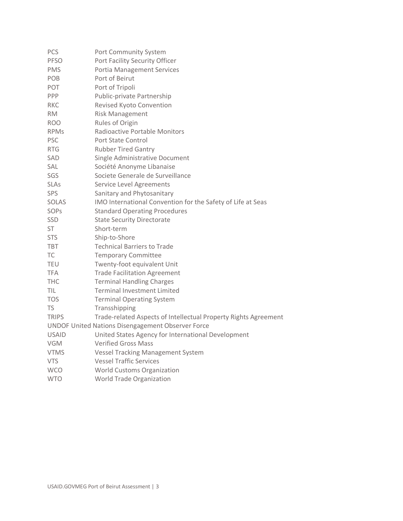| PCS          | Port Community System                                           |
|--------------|-----------------------------------------------------------------|
| <b>PFSO</b>  | Port Facility Security Officer                                  |
| <b>PMS</b>   | <b>Portia Management Services</b>                               |
| POB          | Port of Beirut                                                  |
| POT          | Port of Tripoli                                                 |
| PPP          | Public-private Partnership                                      |
| <b>RKC</b>   | Revised Kyoto Convention                                        |
| <b>RM</b>    | <b>Risk Management</b>                                          |
| <b>ROO</b>   | Rules of Origin                                                 |
| <b>RPMs</b>  | <b>Radioactive Portable Monitors</b>                            |
| <b>PSC</b>   | Port State Control                                              |
| <b>RTG</b>   | <b>Rubber Tired Gantry</b>                                      |
| SAD          | Single Administrative Document                                  |
| <b>SAL</b>   | Société Anonyme Libanaise                                       |
| SGS          | Societe Generale de Surveillance                                |
| <b>SLAs</b>  | Service Level Agreements                                        |
| <b>SPS</b>   | Sanitary and Phytosanitary                                      |
| <b>SOLAS</b> | IMO International Convention for the Safety of Life at Seas     |
| SOPs         | <b>Standard Operating Procedures</b>                            |
| <b>SSD</b>   | <b>State Security Directorate</b>                               |
| <b>ST</b>    | Short-term                                                      |
| <b>STS</b>   | Ship-to-Shore                                                   |
| <b>TBT</b>   | <b>Technical Barriers to Trade</b>                              |
| <b>TC</b>    | <b>Temporary Committee</b>                                      |
| <b>TEU</b>   | Twenty-foot equivalent Unit                                     |
| <b>TFA</b>   | <b>Trade Facilitation Agreement</b>                             |
| <b>THC</b>   | <b>Terminal Handling Charges</b>                                |
| TIL          | <b>Terminal Investment Limited</b>                              |
| <b>TOS</b>   | <b>Terminal Operating System</b>                                |
| TS           | Transshipping                                                   |
| <b>TRIPS</b> | Trade-related Aspects of Intellectual Property Rights Agreement |
|              | <b>UNDOF United Nations Disengagement Observer Force</b>        |
| <b>USAID</b> | United States Agency for International Development              |
| <b>VGM</b>   | <b>Verified Gross Mass</b>                                      |
| <b>VTMS</b>  | <b>Vessel Tracking Management System</b>                        |
| <b>VTS</b>   | <b>Vessel Traffic Services</b>                                  |
| <b>WCO</b>   | <b>World Customs Organization</b>                               |
| <b>WTO</b>   | <b>World Trade Organization</b>                                 |
|              |                                                                 |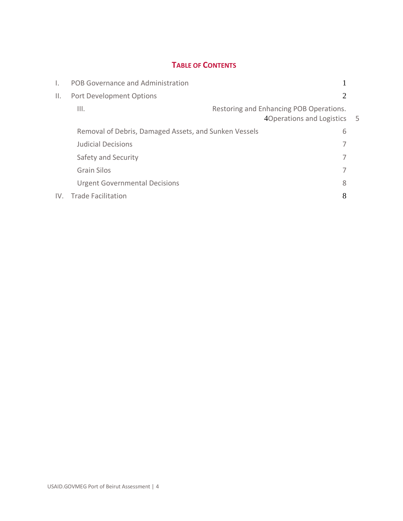# **TABLE OF CONTENTS**

| L. | POB Governance and Administration                     |                                                                        |  |
|----|-------------------------------------------------------|------------------------------------------------------------------------|--|
| Ш. | Port Development Options                              |                                                                        |  |
|    | III.                                                  | Restoring and Enhancing POB Operations.<br>4Operations and Logistics 5 |  |
|    | Removal of Debris, Damaged Assets, and Sunken Vessels | 6                                                                      |  |
|    | <b>Judicial Decisions</b>                             |                                                                        |  |
|    | Safety and Security                                   |                                                                        |  |
|    | <b>Grain Silos</b>                                    |                                                                        |  |
|    | <b>Urgent Governmental Decisions</b>                  | 8                                                                      |  |
|    | IV. Trade Facilitation                                |                                                                        |  |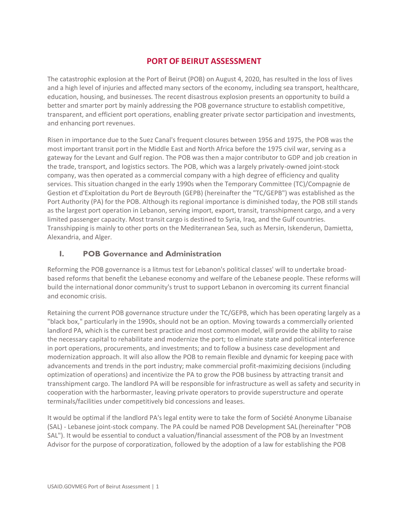# **PORT OF BEIRUT ASSESSMENT**

The catastrophic explosion at the Port of Beirut (POB) on August 4, 2020, has resulted in the loss of lives and a high level of injuries and affected many sectors of the economy, including sea transport, healthcare, education, housing, and businesses. The recent disastrous explosion presents an opportunity to build a better and smarter port by mainly addressing the POB governance structure to establish competitive, transparent, and efficient port operations, enabling greater private sector participation and investments, and enhancing port revenues.

Risen in importance due to the Suez Canal's frequent closures between 1956 and 1975, the POB was the most important transit port in the Middle East and North Africa before the 1975 civil war, serving as a gateway for the Levant and Gulf region. The POB was then a major contributor to GDP and job creation in the trade, transport, and logistics sectors. The POB, which was a largely privately-owned joint-stock company, was then operated as a commercial company with a high degree of efficiency and quality services. This situation changed in the early 1990s when the Temporary Committee (TC)/Compagnie de Gestion et d'Exploitation du Port de Beyrouth (GEPB) (hereinafter the "TC/GEPB") was established as the Port Authority (PA) for the POB. Although its regional importance is diminished today, the POB still stands as the largest port operation in Lebanon, serving import, export, transit, transshipment cargo, and a very limited passenger capacity. Most transit cargo is destined to Syria, Iraq, and the Gulf countries. Transshipping is mainly to other ports on the Mediterranean Sea, such as Mersin, Iskenderun, Damietta, Alexandria, and Alger.

## <span id="page-6-0"></span>**I. POB Governance and Administration**

Reforming the POB governance is a litmus test for Lebanon's political classes' will to undertake broadbased reforms that benefit the Lebanese economy and welfare of the Lebanese people. These reforms will build the international donor community's trust to support Lebanon in overcoming its current financial and economic crisis.

Retaining the current POB governance structure under the TC/GEPB, which has been operating largely as a "black box," particularly in the 1990s, should not be an option. Moving towards a commercially oriented landlord PA, which is the current best practice and most common model, will provide the ability to raise the necessary capital to rehabilitate and modernize the port; to eliminate state and political interference in port operations, procurements, and investments; and to follow a business case development and modernization approach. It will also allow the POB to remain flexible and dynamic for keeping pace with advancements and trends in the port industry; make commercial profit-maximizing decisions (including optimization of operations) and incentivize the PA to grow the POB business by attracting transit and transshipment cargo. The landlord PA will be responsible for infrastructure as well as safety and security in cooperation with the harbormaster, leaving private operators to provide superstructure and operate terminals/facilities under competitively bid concessions and leases.

It would be optimal if the landlord PA's legal entity were to take the form of Société Anonyme Libanaise (SAL) - Lebanese joint-stock company. The PA could be named POB Development SAL (hereinafter "POB SAL"). It would be essential to conduct a valuation/financial assessment of the POB by an Investment Advisor for the purpose of corporatization, followed by the adoption of a law for establishing the POB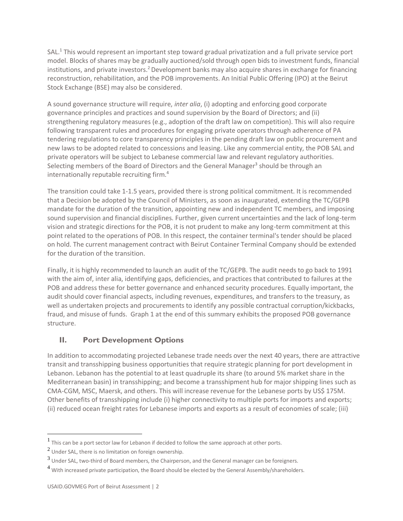SAL.<sup>1</sup> This would represent an important step toward gradual privatization and a full private service port model. Blocks of shares may be gradually auctioned/sold through open bids to investment funds, financial institutions, and private investors.<sup>2</sup> Development banks may also acquire shares in exchange for financing reconstruction, rehabilitation, and the POB improvements. An Initial Public Offering (IPO) at the Beirut Stock Exchange (BSE) may also be considered.

A sound governance structure will require, *inter alia*, (i) adopting and enforcing good corporate governance principles and practices and sound supervision by the Board of Directors; and (ii) strengthening regulatory measures (e.g., adoption of the draft law on competition). This will also require following transparent rules and procedures for engaging private operators through adherence of PA tendering regulations to core transparency principles in the pending draft law on public procurement and new laws to be adopted related to concessions and leasing. Like any commercial entity, the POB SAL and private operators will be subject to Lebanese commercial law and relevant regulatory authorities. Selecting members of the Board of Directors and the General Manager<sup>3</sup> should be through an internationally reputable recruiting firm.<sup>4</sup>

The transition could take 1-1.5 years, provided there is strong political commitment. It is recommended that a Decision be adopted by the Council of Ministers, as soon as inaugurated, extending the TC/GEPB mandate for the duration of the transition, appointing new and independent TC members, and imposing sound supervision and financial disciplines. Further, given current uncertainties and the lack of long-term vision and strategic directions for the POB, it is not prudent to make any long-term commitment at this point related to the operations of POB. In this respect, the container terminal's tender should be placed on hold. The current management contract with Beirut Container Terminal Company should be extended for the duration of the transition.

Finally, it is highly recommended to launch an audit of the TC/GEPB. The audit needs to go back to 1991 with the aim of, inter alia, identifying gaps, deficiencies, and practices that contributed to failures at the POB and address these for better governance and enhanced security procedures. Equally important, the audit should cover financial aspects, including revenues, expenditures, and transfers to the treasury, as well as undertaken projects and procurements to identify any possible contractual corruption/kickbacks, fraud, and misuse of funds. Graph 1 at the end of this summary exhibits the proposed POB governance structure.

## <span id="page-7-0"></span>**II. Port Development Options**

In addition to accommodating projected Lebanese trade needs over the next 40 years, there are attractive transit and transshipping business opportunities that require strategic planning for port development in Lebanon. Lebanon has the potential to at least quadruple its share (to around 5% market share in the Mediterranean basin) in transshipping; and become a transshipment hub for major shipping lines such as CMA-CGM, MSC, Maersk, and others. This will increase revenue for the Lebanese ports by US\$ 175M. Other benefits of transshipping include (i) higher connectivity to multiple ports for imports and exports; (ii) reduced ocean freight rates for Lebanese imports and exports as a result of economies of scale; (iii)

 $<sup>1</sup>$  This can be a port sector law for Lebanon if decided to follow the same approach at other ports.</sup>

 $^2$  Under SAL, there is no limitation on foreign ownership.

 $^3$  Under SAL, two-third of Board members, the Chairperson, and the General manager can be foreigners.

<sup>&</sup>lt;sup>4</sup> With increased private participation, the Board should be elected by the General Assembly/shareholders.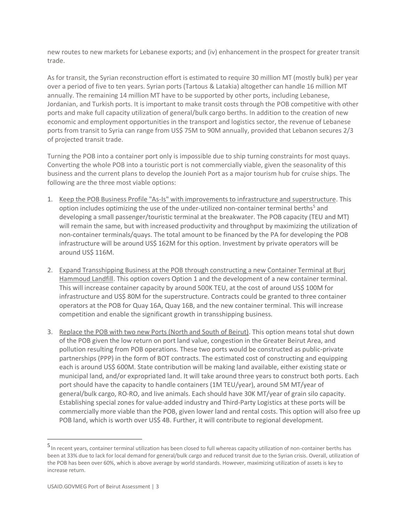new routes to new markets for Lebanese exports; and (iv) enhancement in the prospect for greater transit trade.

As for transit, the Syrian reconstruction effort is estimated to require 30 million MT (mostly bulk) per year over a period of five to ten years. Syrian ports (Tartous & Latakia) altogether can handle 16 million MT annually. The remaining 14 million MT have to be supported by other ports, including Lebanese, Jordanian, and Turkish ports. It is important to make transit costs through the POB competitive with other ports and make full capacity utilization of general/bulk cargo berths. In addition to the creation of new economic and employment opportunities in the transport and logistics sector, the revenue of Lebanese ports from transit to Syria can range from US\$ 75M to 90M annually, provided that Lebanon secures 2/3 of projected transit trade.

Turning the POB into a container port only is impossible due to ship turning constraints for most quays. Converting the whole POB into a touristic port is not commercially viable, given the seasonality of this business and the current plans to develop the Jounieh Port as a major tourism hub for cruise ships. The following are the three most viable options:

- 1. Keep the POB Business Profile "As-Is" with improvements to infrastructure and superstructure. This option includes optimizing the use of the under-utilized non-container terminal berths<sup>5</sup> and developing a small passenger/touristic terminal at the breakwater. The POB capacity (TEU and MT) will remain the same, but with increased productivity and throughput by maximizing the utilization of non-container terminals/quays. The total amount to be financed by the PA for developing the POB infrastructure will be around US\$ 162M for this option. Investment by private operators will be around US\$ 116M.
- 2. Expand Transshipping Business at the POB through constructing a new Container Terminal at Burj Hammoud Landfill. This option covers Option 1 and the development of a new container terminal. This will increase container capacity by around 500K TEU, at the cost of around US\$ 100M for infrastructure and US\$ 80M for the superstructure. Contracts could be granted to three container operators at the POB for Quay 16A, Quay 16B, and the new container terminal. This will increase competition and enable the significant growth in transshipping business.
- 3. Replace the POB with two new Ports (North and South of Beirut). This option means total shut down of the POB given the low return on port land value, congestion in the Greater Beirut Area, and pollution resulting from POB operations. These two ports would be constructed as public-private partnerships (PPP) in the form of BOT contracts. The estimated cost of constructing and equipping each is around US\$ 600M. State contribution will be making land available, either existing state or municipal land, and/or expropriated land. It will take around three years to construct both ports. Each port should have the capacity to handle containers (1M TEU/year), around 5M MT/year of general/bulk cargo, RO-RO, and live animals. Each should have 30K MT/year of grain silo capacity. Establishing special zones for value-added industry and Third-Party Logistics at these ports will be commercially more viable than the POB, given lower land and rental costs. This option will also free up POB land, which is worth over US\$ 4B. Further, it will contribute to regional development.

<sup>5</sup> In recent years, container terminal utilization has been closed to full whereas capacity utilization of non-container berths has been at 33% due to lack for local demand for general/bulk cargo and reduced transit due to the Syrian crisis. Overall, utilization of the POB has been over 60%, which is above average by world standards. However, maximizing utilization of assets is key to increase return.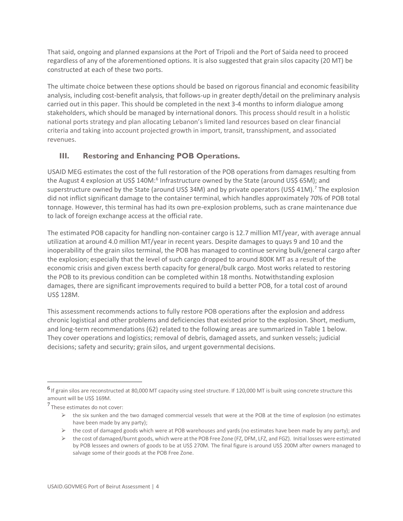That said, ongoing and planned expansions at the Port of Tripoli and the Port of Saida need to proceed regardless of any of the aforementioned options. It is also suggested that grain silos capacity (20 MT) be constructed at each of these two ports.

The ultimate choice between these options should be based on rigorous financial and economic feasibility analysis, including cost-benefit analysis, that follows-up in greater depth/detail on the preliminary analysis carried out in this paper. This should be completed in the next 3-4 months to inform dialogue among stakeholders, which should be managed by international donors. This process should result in a holistic national ports strategy and plan allocating Lebanon's limited land resources based on clear financial criteria and taking into account projected growth in import, transit, transshipment, and associated revenues.

## <span id="page-9-0"></span>**III. Restoring and Enhancing POB Operations.**

USAID MEG estimates the cost of the full restoration of the POB operations from damages resulting from the August 4 explosion at US\$ 140M:<sup>6</sup> Infrastructure owned by the State (around US\$ 65M); and superstructure owned by the State (around US\$ 34M) and by private operators (US\$ 41M).<sup>7</sup> The explosion did not inflict significant damage to the container terminal, which handles approximately 70% of POB total tonnage. However, this terminal has had its own pre-explosion problems, such as crane maintenance due to lack of foreign exchange access at the official rate.

The estimated POB capacity for handling non-container cargo is 12.7 million MT/year, with average annual utilization at around 4.0 million MT/year in recent years. Despite damages to quays 9 and 10 and the inoperability of the grain silos terminal, the POB has managed to continue serving bulk/general cargo after the explosion; especially that the level of such cargo dropped to around 800K MT as a result of the economic crisis and given excess berth capacity for general/bulk cargo. Most works related to restoring the POB to its previous condition can be completed within 18 months. Notwithstanding explosion damages, there are significant improvements required to build a better POB, for a total cost of around US\$ 128M.

This assessment recommends actions to fully restore POB operations after the explosion and address chronic logistical and other problems and deficiencies that existed prior to the explosion. Short, medium, and long-term recommendations (62) related to the following areas are summarized in Table 1 below. They cover operations and logistics; removal of debris, damaged assets, and sunken vessels; judicial decisions; safety and security; grain silos, and urgent governmental decisions.

 $\triangleright$  the cost of damaged goods which were at POB warehouses and yards (no estimates have been made by any party); and

<sup>6</sup> If grain silos are reconstructed at 80,000 MT capacity using steel structure. If 120,000 MT is built using concrete structure this amount will be US\$ 169M.

<sup>7</sup> These estimates do not cover:

 $\triangleright$  the six sunken and the two damaged commercial vessels that were at the POB at the time of explosion (no estimates have been made by any party);

 $\triangleright$  the cost of damaged/burnt goods, which were at the POB Free Zone (FZ, DFM, LFZ, and FGZ). Initial losses were estimated by POB lessees and owners of goods to be at US\$ 270M. The final figure is around US\$ 200M after owners managed to salvage some of their goods at the POB Free Zone.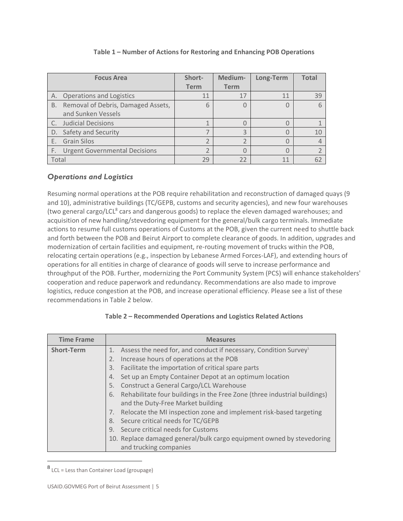|       | <b>Focus Area</b>                    | Short-      | Medium-     | Long-Term | <b>Total</b> |
|-------|--------------------------------------|-------------|-------------|-----------|--------------|
|       |                                      | <b>Term</b> | <b>Term</b> |           |              |
| А.    | <b>Operations and Logistics</b>      | 11          | 17          | 11        | 39           |
| B.    | Removal of Debris, Damaged Assets,   | 6           |             |           |              |
|       | and Sunken Vessels                   |             |             |           |              |
|       | <b>Judicial Decisions</b>            |             |             |           |              |
| D.    | Safety and Security                  |             | 3           |           | 10           |
| E.    | <b>Grain Silos</b>                   |             |             | C         |              |
| F.    | <b>Urgent Governmental Decisions</b> |             |             |           |              |
| Total |                                      | 29          | 22          | 11        | 62           |

#### **Table 1 – Number of Actions for Restoring and Enhancing POB Operations**

### <span id="page-10-0"></span>*Operations and Logistics*

Resuming normal operations at the POB require rehabilitation and reconstruction of damaged quays (9 and 10), administrative buildings (TC/GEPB, customs and security agencies), and new four warehouses (two general cargo/LCL<sup>8</sup> cars and dangerous goods) to replace the eleven damaged warehouses; and acquisition of new handling/stevedoring equipment for the general/bulk cargo terminals. Immediate actions to resume full customs operations of Customs at the POB, given the current need to shuttle back and forth between the POB and Beirut Airport to complete clearance of goods. In addition, upgrades and modernization of certain facilities and equipment, re-routing movement of trucks within the POB, relocating certain operations (e.g., inspection by Lebanese Armed Forces-LAF), and extending hours of operations for all entities in charge of clearance of goods will serve to increase performance and throughput of the POB. Further, modernizing the Port Community System (PCS) will enhance stakeholders' cooperation and reduce paperwork and redundancy. Recommendations are also made to improve logistics, reduce congestion at the POB, and increase operational efficiency. Please see a list of these recommendations in Table 2 below.

### **Table 2 – Recommended Operations and Logistics Related Actions**

| <b>Time Frame</b> | <b>Measures</b>                                                                 |  |
|-------------------|---------------------------------------------------------------------------------|--|
| <b>Short-Term</b> | 1. Assess the need for, and conduct if necessary, Condition Survey              |  |
|                   | Increase hours of operations at the POB                                         |  |
|                   | Facilitate the importation of critical spare parts<br>3.                        |  |
|                   | Set up an Empty Container Depot at an optimum location<br>4.                    |  |
|                   | Construct a General Cargo/LCL Warehouse<br>5.                                   |  |
|                   | Rehabilitate four buildings in the Free Zone (three industrial buildings)<br>6. |  |
|                   | and the Duty-Free Market building                                               |  |
|                   | Relocate the MI inspection zone and implement risk-based targeting              |  |
|                   | Secure critical needs for TC/GEPB<br>8.                                         |  |
|                   | Secure critical needs for Customs<br>9.                                         |  |
|                   | 10. Replace damaged general/bulk cargo equipment owned by stevedoring           |  |
|                   | and trucking companies                                                          |  |

<sup>8</sup> LCL = Less than Container Load (groupage)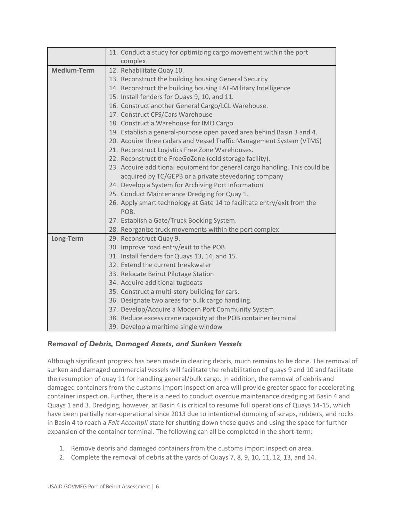|                    | 11. Conduct a study for optimizing cargo movement within the port               |  |
|--------------------|---------------------------------------------------------------------------------|--|
|                    | complex                                                                         |  |
| <b>Medium-Term</b> | 12. Rehabilitate Quay 10.                                                       |  |
|                    | 13. Reconstruct the building housing General Security                           |  |
|                    | 14. Reconstruct the building housing LAF-Military Intelligence                  |  |
|                    | 15. Install fenders for Quays 9, 10, and 11.                                    |  |
|                    | 16. Construct another General Cargo/LCL Warehouse.                              |  |
|                    | 17. Construct CFS/Cars Warehouse                                                |  |
|                    | 18. Construct a Warehouse for IMO Cargo.                                        |  |
|                    | 19. Establish a general-purpose open paved area behind Basin 3 and 4.           |  |
|                    | 20. Acquire three radars and Vessel Traffic Management System (VTMS)            |  |
|                    | 21. Reconstruct Logistics Free Zone Warehouses.                                 |  |
|                    | 22. Reconstruct the FreeGoZone (cold storage facility).                         |  |
|                    | 23. Acquire additional equipment for general cargo handling. This could be      |  |
|                    | acquired by TC/GEPB or a private stevedoring company                            |  |
|                    | 24. Develop a System for Archiving Port Information                             |  |
|                    | 25. Conduct Maintenance Dredging for Quay 1.                                    |  |
|                    | 26. Apply smart technology at Gate 14 to facilitate entry/exit from the<br>POB. |  |
|                    | 27. Establish a Gate/Truck Booking System.                                      |  |
|                    | 28. Reorganize truck movements within the port complex                          |  |
| Long-Term          | 29. Reconstruct Quay 9.                                                         |  |
|                    | 30. Improve road entry/exit to the POB.                                         |  |
|                    | 31. Install fenders for Quays 13, 14, and 15.                                   |  |
|                    | 32. Extend the current breakwater                                               |  |
|                    | 33. Relocate Beirut Pilotage Station                                            |  |
|                    | 34. Acquire additional tugboats                                                 |  |
|                    | 35. Construct a multi-story building for cars.                                  |  |
|                    | 36. Designate two areas for bulk cargo handling.                                |  |
|                    | 37. Develop/Acquire a Modern Port Community System                              |  |
|                    | 38. Reduce excess crane capacity at the POB container terminal                  |  |
|                    | 39. Develop a maritime single window                                            |  |

### <span id="page-11-0"></span>*Removal of Debris, Damaged Assets, and Sunken Vessels*

Although significant progress has been made in clearing debris, much remains to be done. The removal of sunken and damaged commercial vessels will facilitate the rehabilitation of quays 9 and 10 and facilitate the resumption of quay 11 for handling general/bulk cargo. In addition, the removal of debris and damaged containers from the customs import inspection area will provide greater space for accelerating container inspection. Further, there is a need to conduct overdue maintenance dredging at Basin 4 and Quays 1 and 3. Dredging, however, at Basin 4 is critical to resume full operations of Quays 14-15, which have been partially non-operational since 2013 due to intentional dumping of scraps, rubbers, and rocks in Basin 4 to reach a *Fait Accompli* state for shutting down these quays and using the space for further expansion of the container terminal. The following can all be completed in the short-term:

- 1. Remove debris and damaged containers from the customs import inspection area.
- 2. Complete the removal of debris at the yards of Quays 7, 8, 9, 10, 11, 12, 13, and 14.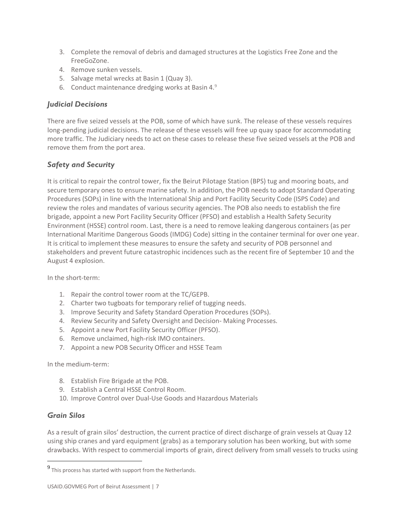- 3. Complete the removal of debris and damaged structures at the Logistics Free Zone and the FreeGoZone.
- 4. Remove sunken vessels.
- 5. Salvage metal wrecks at Basin 1 (Quay 3).
- 6. Conduct maintenance dredging works at Basin 4.<sup>9</sup>

#### <span id="page-12-0"></span>*Judicial Decisions*

There are five seized vessels at the POB, some of which have sunk. The release of these vessels requires long-pending judicial decisions. The release of these vessels will free up quay space for accommodating more traffic. The Judiciary needs to act on these cases to release these five seized vessels at the POB and remove them from the port area.

### <span id="page-12-1"></span>*Safety and Security*

It is critical to repair the control tower, fix the Beirut Pilotage Station (BPS) tug and mooring boats, and secure temporary ones to ensure marine safety. In addition, the POB needs to adopt Standard Operating Procedures (SOPs) in line with the International Ship and Port Facility Security Code (ISPS Code) and review the roles and mandates of various security agencies. The POB also needs to establish the fire brigade, appoint a new Port Facility Security Officer (PFSO) and establish a Health Safety Security Environment (HSSE) control room. Last, there is a need to remove leaking dangerous containers (as per International Maritime Dangerous Goods (IMDG) Code) sitting in the container terminal for over one year. It is critical to implement these measures to ensure the safety and security of POB personnel and stakeholders and prevent future catastrophic incidences such as the recent fire of September 10 and the August 4 explosion.

In the short-term:

- 1. Repair the control tower room at the TC/GEPB.
- 2. Charter two tugboats for temporary relief of tugging needs.
- 3. Improve Security and Safety Standard Operation Procedures (SOPs).
- 4. Review Security and Safety Oversight and Decision- Making Processes.
- 5. Appoint a new Port Facility Security Officer (PFSO).
- 6. Remove unclaimed, high-risk IMO containers.
- 7. Appoint a new POB Security Officer and HSSE Team

In the medium-term:

- 8. Establish Fire Brigade at the POB.
- 9. Establish a Central HSSE Control Room.
- 10. Improve Control over Dual-Use Goods and Hazardous Materials

#### <span id="page-12-2"></span>*Grain Silos*

As a result of grain silos' destruction, the current practice of direct discharge of grain vessels at Quay 12 using ship cranes and yard equipment (grabs) as a temporary solution has been working, but with some drawbacks. With respect to commercial imports of grain, direct delivery from small vessels to trucks using

 $9$  This process has started with support from the Netherlands.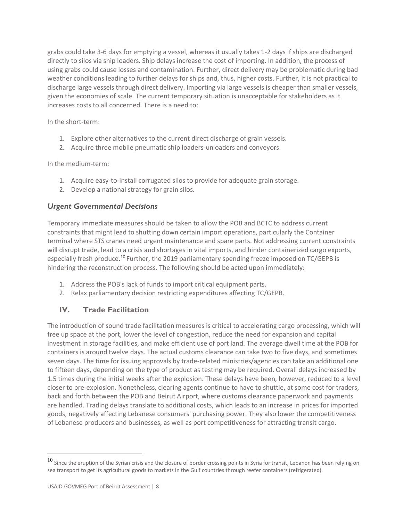grabs could take 3-6 days for emptying a vessel, whereas it usually takes 1-2 days if ships are discharged directly to silos via ship loaders. Ship delays increase the cost of importing. In addition, the process of using grabs could cause losses and contamination. Further, direct delivery may be problematic during bad weather conditions leading to further delays for ships and, thus, higher costs. Further, it is not practical to discharge large vessels through direct delivery. Importing via large vessels is cheaper than smaller vessels, given the economies of scale. The current temporary situation is unacceptable for stakeholders as it increases costs to all concerned. There is a need to:

In the short-term:

- 1. Explore other alternatives to the current direct discharge of grain vessels.
- 2. Acquire three mobile pneumatic ship loaders-unloaders and conveyors.

In the medium-term:

- 1. Acquire easy-to-install corrugated silos to provide for adequate grain storage.
- 2. Develop a national strategy for grain silos.

### <span id="page-13-0"></span>*Urgent Governmental Decisions*

Temporary immediate measures should be taken to allow the POB and BCTC to address current constraints that might lead to shutting down certain import operations, particularly the Container terminal where STS cranes need urgent maintenance and spare parts. Not addressing current constraints will disrupt trade, lead to a crisis and shortages in vital imports, and hinder containerized cargo exports, especially fresh produce.<sup>10</sup> Further, the 2019 parliamentary spending freeze imposed on TC/GEPB is hindering the reconstruction process. The following should be acted upon immediately:

- 1. Address the POB's lack of funds to import critical equipment parts.
- 2. Relax parliamentary decision restricting expenditures affecting TC/GEPB.

# <span id="page-13-1"></span>**IV. Trade Facilitation**

The introduction of sound trade facilitation measures is critical to accelerating cargo processing, which will free up space at the port, lower the level of congestion, reduce the need for expansion and capital investment in storage facilities, and make efficient use of port land. The average dwell time at the POB for containers is around twelve days. The actual customs clearance can take two to five days, and sometimes seven days. The time for issuing approvals by trade-related ministries/agencies can take an additional one to fifteen days, depending on the type of product as testing may be required. Overall delays increased by 1.5 times during the initial weeks after the explosion. These delays have been, however, reduced to a level closer to pre-explosion. Nonetheless, clearing agents continue to have to shuttle, at some cost for traders, back and forth between the POB and Beirut Airport, where customs clearance paperwork and payments are handled. Trading delays translate to additional costs, which leads to an increase in prices for imported goods, negatively affecting Lebanese consumers' purchasing power. They also lower the competitiveness of Lebanese producers and businesses, as well as port competitiveness for attracting transit cargo.

 $10$  Since the eruption of the Syrian crisis and the closure of border crossing points in Syria for transit, Lebanon has been relying on sea transport to get its agricultural goods to markets in the Gulf countries through reefer containers (refrigerated).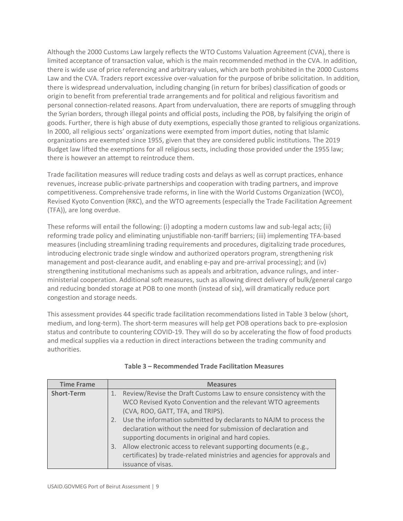Although the 2000 Customs Law largely reflects the WTO Customs Valuation Agreement (CVA), there is limited acceptance of transaction value, which is the main recommended method in the CVA. In addition, there is wide use of price referencing and arbitrary values, which are both prohibited in the 2000 Customs Law and the CVA. Traders report excessive over-valuation for the purpose of bribe solicitation. In addition, there is widespread undervaluation, including changing (in return for bribes) classification of goods or origin to benefit from preferential trade arrangements and for political and religious favoritism and personal connection-related reasons. Apart from undervaluation, there are reports of smuggling through the Syrian borders, through illegal points and official posts, including the POB, by falsifying the origin of goods. Further, there is high abuse of duty exemptions, especially those granted to religious organizations. In 2000, all religious sects' organizations were exempted from import duties, noting that Islamic organizations are exempted since 1955, given that they are considered public institutions. The 2019 Budget law lifted the exemptions for all religious sects, including those provided under the 1955 law; there is however an attempt to reintroduce them.

Trade facilitation measures will reduce trading costs and delays as well as corrupt practices, enhance revenues, increase public-private partnerships and cooperation with trading partners, and improve competitiveness. Comprehensive trade reforms, in line with the World Customs Organization (WCO), Revised Kyoto Convention (RKC), and the WTO agreements (especially the Trade Facilitation Agreement (TFA)), are long overdue.

These reforms will entail the following: (i) adopting a modern customs law and sub-legal acts; (ii) reforming trade policy and eliminating unjustifiable non-tariff barriers; (iii) implementing TFA-based measures (including streamlining trading requirements and procedures, digitalizing trade procedures, introducing electronic trade single window and authorized operators program, strengthening risk management and post-clearance audit, and enabling e-pay and pre-arrival processing); and (iv) strengthening institutional mechanisms such as appeals and arbitration, advance rulings, and interministerial cooperation. Additional soft measures, such as allowing direct delivery of bulk/general cargo and reducing bonded storage at POB to one month (instead of six), will dramatically reduce port congestion and storage needs.

This assessment provides 44 specific trade facilitation recommendations listed in Table 3 below (short, medium, and long-term). The short-term measures will help get POB operations back to pre-explosion status and contribute to countering COVID-19. They will do so by accelerating the flow of food products and medical supplies via a reduction in direct interactions between the trading community and authorities.

| <b>Time Frame</b> | <b>Measures</b>                                                          |
|-------------------|--------------------------------------------------------------------------|
| <b>Short-Term</b> | 1. Review/Revise the Draft Customs Law to ensure consistency with the    |
|                   | WCO Revised Kyoto Convention and the relevant WTO agreements             |
|                   | (CVA, ROO, GATT, TFA, and TRIPS).                                        |
|                   | 2. Use the information submitted by declarants to NAJM to process the    |
|                   | declaration without the need for submission of declaration and           |
|                   | supporting documents in original and hard copies.                        |
|                   | Allow electronic access to relevant supporting documents (e.g.,<br>3.    |
|                   | certificates) by trade-related ministries and agencies for approvals and |
|                   | issuance of visas.                                                       |

#### **Table 3 – Recommended Trade Facilitation Measures**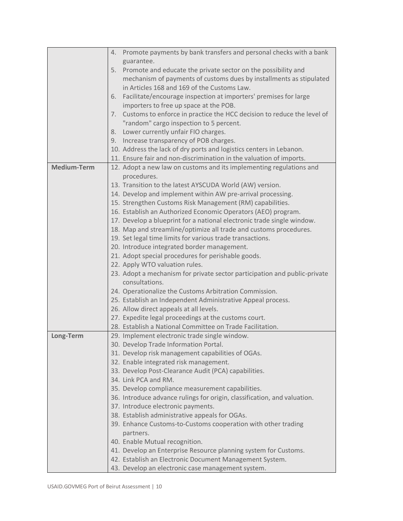|                    | Promote payments by bank transfers and personal checks with a bank<br>4.                       |
|--------------------|------------------------------------------------------------------------------------------------|
|                    | guarantee.                                                                                     |
|                    | Promote and educate the private sector on the possibility and<br>5.                            |
|                    | mechanism of payments of customs dues by installments as stipulated                            |
|                    | in Articles 168 and 169 of the Customs Law.                                                    |
|                    | Facilitate/encourage inspection at importers' premises for large<br>6.                         |
|                    | importers to free up space at the POB.                                                         |
|                    | Customs to enforce in practice the HCC decision to reduce the level of<br>7.                   |
|                    | "random" cargo inspection to 5 percent.                                                        |
|                    | Lower currently unfair FIO charges.<br>8.                                                      |
|                    | 9. Increase transparency of POB charges.                                                       |
|                    | 10. Address the lack of dry ports and logistics centers in Lebanon.                            |
|                    | 11. Ensure fair and non-discrimination in the valuation of imports.                            |
| <b>Medium-Term</b> | 12. Adopt a new law on customs and its implementing regulations and                            |
|                    | procedures.                                                                                    |
|                    | 13. Transition to the latest AYSCUDA World (AW) version.                                       |
|                    | 14. Develop and implement within AW pre-arrival processing.                                    |
|                    |                                                                                                |
|                    | 15. Strengthen Customs Risk Management (RM) capabilities.                                      |
|                    | 16. Establish an Authorized Economic Operators (AEO) program.                                  |
|                    | 17. Develop a blueprint for a national electronic trade single window.                         |
|                    | 18. Map and streamline/optimize all trade and customs procedures.                              |
|                    | 19. Set legal time limits for various trade transactions.                                      |
|                    | 20. Introduce integrated border management.                                                    |
|                    | 21. Adopt special procedures for perishable goods.                                             |
|                    | 22. Apply WTO valuation rules.                                                                 |
|                    | 23. Adopt a mechanism for private sector participation and public-private<br>consultations.    |
|                    | 24. Operationalize the Customs Arbitration Commission.                                         |
|                    | 25. Establish an Independent Administrative Appeal process.                                    |
|                    | 26. Allow direct appeals at all levels.                                                        |
|                    | 27. Expedite legal proceedings at the customs court.                                           |
|                    | 28. Establish a National Committee on Trade Facilitation.                                      |
| Long-Term          | 29. Implement electronic trade single window.                                                  |
|                    | 30. Develop Trade Information Portal.                                                          |
|                    |                                                                                                |
|                    | 31. Develop risk management capabilities of OGAs.                                              |
|                    | 32. Enable integrated risk management.<br>33. Develop Post-Clearance Audit (PCA) capabilities. |
|                    | 34. Link PCA and RM.                                                                           |
|                    |                                                                                                |
|                    | 35. Develop compliance measurement capabilities.                                               |
|                    | 36. Introduce advance rulings for origin, classification, and valuation.                       |
|                    | 37. Introduce electronic payments.                                                             |
|                    | 38. Establish administrative appeals for OGAs.                                                 |
|                    | 39. Enhance Customs-to-Customs cooperation with other trading<br>partners.                     |
|                    | 40. Enable Mutual recognition.                                                                 |
|                    | 41. Develop an Enterprise Resource planning system for Customs.                                |
|                    | 42. Establish an Electronic Document Management System.                                        |
|                    | 43. Develop an electronic case management system.                                              |
|                    |                                                                                                |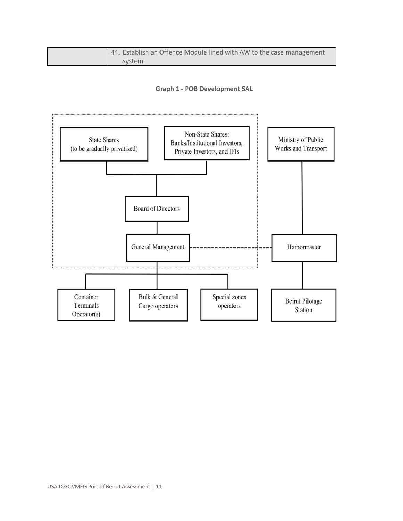| 44. Establish an Offence Module lined with AW to the case management |
|----------------------------------------------------------------------|
| system                                                               |

**Graph 1 - POB Development SAL**

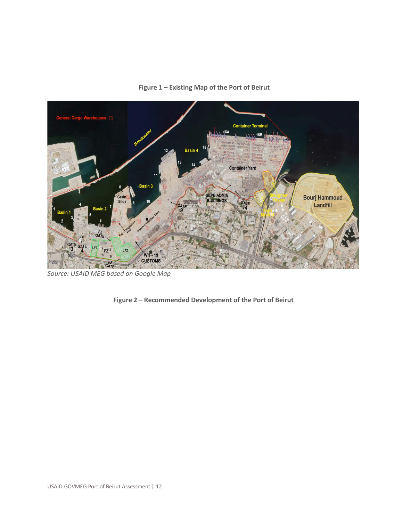

**Figure 1 – Existing Map of the Port of Beirut**

*Source: USAID MEG based on Google Map*